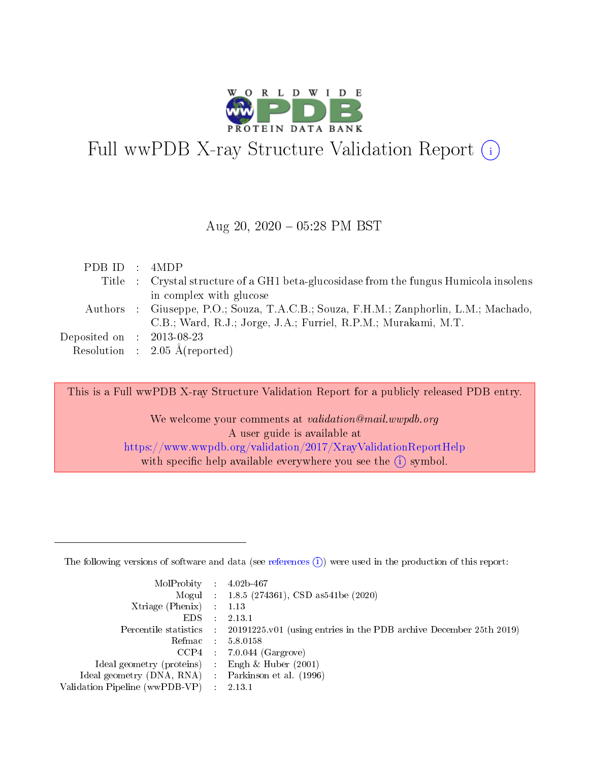

# Full wwPDB X-ray Structure Validation Report (i)

#### Aug 20,  $2020 - 05:28$  PM BST

| PDBID : 4MDP                         |                                                                                       |
|--------------------------------------|---------------------------------------------------------------------------------------|
|                                      | Title : Crystal structure of a GH1 beta-glucosidase from the fungus Humicola insolens |
|                                      | in complex with glucose                                                               |
|                                      | Authors: Giuseppe, P.O.; Souza, T.A.C.B.; Souza, F.H.M.; Zanphorlin, L.M.; Machado,   |
|                                      | C.B.; Ward, R.J.; Jorge, J.A.; Furriel, R.P.M.; Murakami, M.T.                        |
| Deposited on $\therefore$ 2013-08-23 |                                                                                       |
|                                      | Resolution : $2.05 \text{ Å}$ (reported)                                              |

This is a Full wwPDB X-ray Structure Validation Report for a publicly released PDB entry.

We welcome your comments at validation@mail.wwpdb.org A user guide is available at <https://www.wwpdb.org/validation/2017/XrayValidationReportHelp> with specific help available everywhere you see the  $(i)$  symbol.

The following versions of software and data (see [references](https://www.wwpdb.org/validation/2017/XrayValidationReportHelp#references)  $(1)$ ) were used in the production of this report:

| MolProbity : $4.02b-467$                            |                                                                                            |
|-----------------------------------------------------|--------------------------------------------------------------------------------------------|
|                                                     | Mogul : $1.8.5$ (274361), CSD as 541be (2020)                                              |
| Xtriage (Phenix) $: 1.13$                           |                                                                                            |
| EDS :                                               | 2.13.1                                                                                     |
|                                                     | Percentile statistics : 20191225.v01 (using entries in the PDB archive December 25th 2019) |
| Refmac 58.0158                                      |                                                                                            |
|                                                     | $CCP4$ 7.0.044 (Gargrove)                                                                  |
| Ideal geometry (proteins) : Engh $\&$ Huber (2001)  |                                                                                            |
| Ideal geometry (DNA, RNA) : Parkinson et al. (1996) |                                                                                            |
| Validation Pipeline (wwPDB-VP) : 2.13.1             |                                                                                            |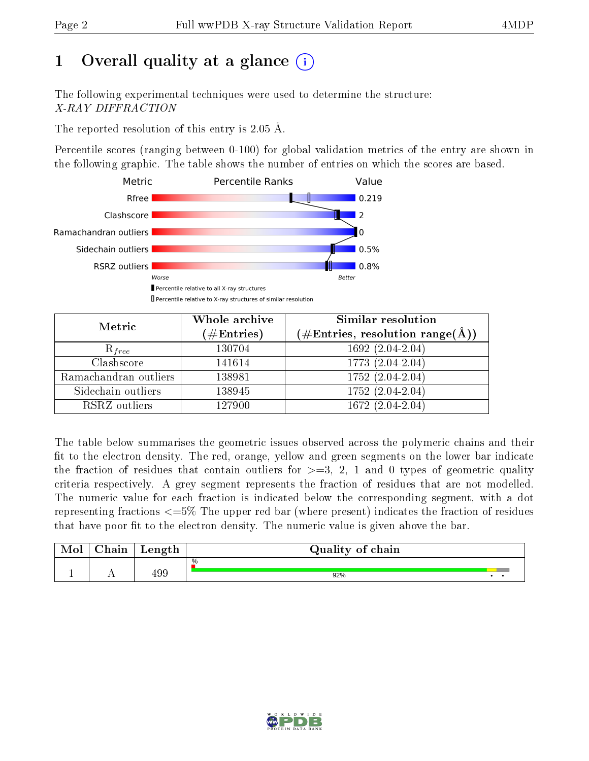## 1 [O](https://www.wwpdb.org/validation/2017/XrayValidationReportHelp#overall_quality)verall quality at a glance  $(i)$

The following experimental techniques were used to determine the structure: X-RAY DIFFRACTION

The reported resolution of this entry is 2.05 Å.

Percentile scores (ranging between 0-100) for global validation metrics of the entry are shown in the following graphic. The table shows the number of entries on which the scores are based.



| Metric                | Whole archive<br>$(\#\text{Entries})$ | Similar resolution<br>$(\#\text{Entries},\,\text{resolution}\,\,\text{range}(\textup{\AA}))$ |
|-----------------------|---------------------------------------|----------------------------------------------------------------------------------------------|
| $R_{free}$            | 130704                                | 1692 (2.04-2.04)                                                                             |
| Clashscore            | 141614                                | 1773 (2.04-2.04)                                                                             |
| Ramachandran outliers | 138981                                | $1752 (2.04 - 2.04)$                                                                         |
| Sidechain outliers    | 138945                                | 1752 (2.04-2.04)                                                                             |
| RSRZ outliers         | 127900                                | $1672(2.04-2.04)$                                                                            |

The table below summarises the geometric issues observed across the polymeric chains and their fit to the electron density. The red, orange, yellow and green segments on the lower bar indicate the fraction of residues that contain outliers for  $>=3, 2, 1$  and 0 types of geometric quality criteria respectively. A grey segment represents the fraction of residues that are not modelled. The numeric value for each fraction is indicated below the corresponding segment, with a dot representing fractions  $\epsilon=5\%$  The upper red bar (where present) indicates the fraction of residues that have poor fit to the electron density. The numeric value is given above the bar.

| Mol | $\cap$ hain | Length | Quality of chain |  |
|-----|-------------|--------|------------------|--|
|     |             |        | %                |  |
|     |             | 199    | 92%              |  |

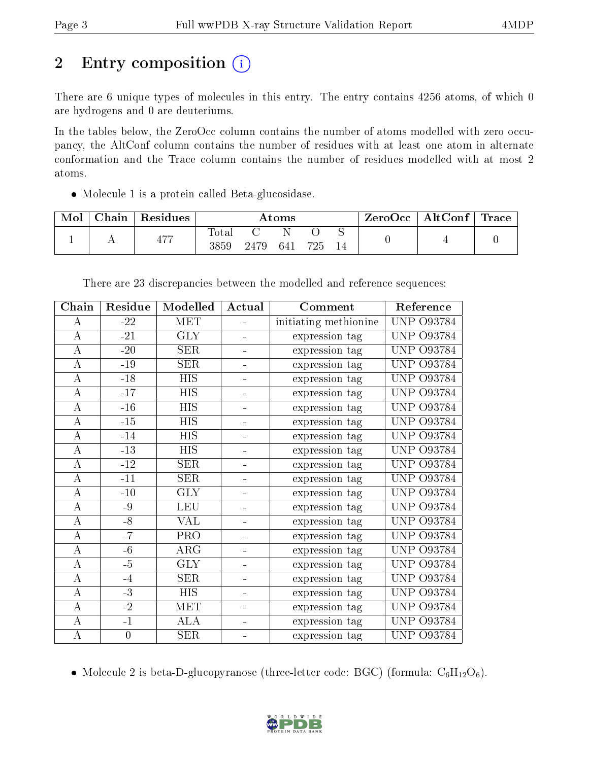# 2 Entry composition (i)

There are 6 unique types of molecules in this entry. The entry contains 4256 atoms, of which 0 are hydrogens and 0 are deuteriums.

In the tables below, the ZeroOcc column contains the number of atoms modelled with zero occupancy, the AltConf column contains the number of residues with at least one atom in alternate conformation and the Trace column contains the number of residues modelled with at most 2 atoms.

Molecule 1 is a protein called Beta-glucosidase.

| Mol | ${\rm Chain}$ | Residues | $\rm{Atoms}$            |      |     | ZeroOcc | $\mid$ AltConf $\mid$ | $^+$ Trace |  |  |
|-----|---------------|----------|-------------------------|------|-----|---------|-----------------------|------------|--|--|
|     |               | 477      | $\mathrm{Tota}$<br>3859 | 2479 | 641 | 795     |                       |            |  |  |

| Chain            | Residue          | Modelled   | Actual                   | Comment               | Reference            |
|------------------|------------------|------------|--------------------------|-----------------------|----------------------|
| А                | $-22$            | MET        |                          | initiating methionine | O93784<br>UNP        |
| А                | $-21$            | <b>GLY</b> |                          | expression tag        | <b>UNP</b><br>O93784 |
| А                | $-20$            | <b>SER</b> |                          | expression tag        | UNP.<br>O93784       |
| $\boldsymbol{A}$ | $-19$            | <b>SER</b> | $\blacksquare$           | expression tag        | <b>UNP</b><br>O93784 |
| $\boldsymbol{A}$ | $-18$            | <b>HIS</b> |                          | expression tag        | O93784<br>UNP        |
| $\bf{A}$         | $-17$            | <b>HIS</b> | ÷                        | expression tag        | O93784<br><b>UNP</b> |
| $\bf{A}$         | $-16$            | <b>HIS</b> |                          | expression tag        | <b>UNP</b><br>O93784 |
| $\boldsymbol{A}$ | $-15$            | <b>HIS</b> | ÷                        | expression tag        | O93784<br>UNP        |
| $\boldsymbol{A}$ | $-14$            | <b>HIS</b> | ÷,                       | expression tag        | O93784<br>UNP        |
| $\boldsymbol{A}$ | $-13$            | <b>HIS</b> | $\overline{\phantom{0}}$ | expression tag        | O93784<br>UNP        |
| А                | $-12$            | <b>SER</b> | $\equiv$                 | expression tag        | UNP<br>O93784        |
| А                | $-11$            | SER        |                          | expression tag        | UNP<br>O93784        |
| A                | $-10$            | <b>GLY</b> |                          | expression tag        | O93784<br><b>UNP</b> |
| $\bf{A}$         | $-9$             | <b>LEU</b> |                          | expression tag        | O93784<br>UNP        |
| $\boldsymbol{A}$ | $-8$             | VAL        | $\overline{\phantom{0}}$ | expression tag        | O93784<br>UNP        |
| $\bf{A}$         | $-7$             | PRO        | ÷                        | expression tag        | O93784<br><b>UNP</b> |
| $\bf{A}$         | $-6$             | ARG        | ÷                        | expression tag        | UNP<br>O93784        |
| $\boldsymbol{A}$ | $-5$             | <b>GLY</b> | $\overline{\phantom{0}}$ | expression tag        | O93784<br><b>UNP</b> |
| $\boldsymbol{A}$ | $-4$             | <b>SER</b> | L,                       | expression tag        | UNP<br>O93784        |
| A                | $-3$             | <b>HIS</b> | ÷,                       | expression tag        | <b>UNP</b><br>O93784 |
| А                | $-2$             | MET        |                          | expression tag        | UNP<br>O93784        |
| $\boldsymbol{A}$ | $-1$             | <b>ALA</b> |                          | expression tag        | O93784<br>UNP        |
| $\boldsymbol{A}$ | $\boldsymbol{0}$ | SER        |                          | expression tag        | UNP 093784           |

There are 23 discrepancies between the modelled and reference sequences:

• Molecule 2 is beta-D-glucopyranose (three-letter code: BGC) (formula:  $C_6H_{12}O_6$ ).

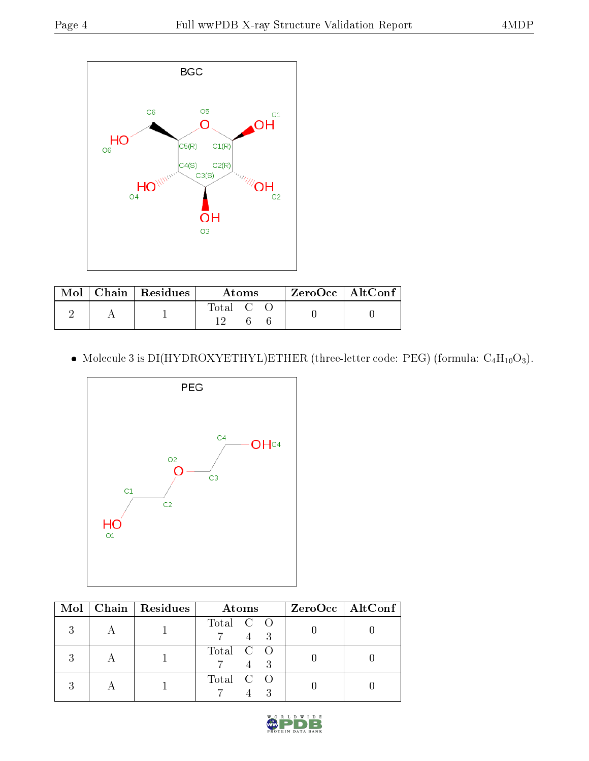

|  | $\text{Mol}$   Chain   Residues | Atoms   | $ZeroOcc \mid AltConf$ |
|--|---------------------------------|---------|------------------------|
|  |                                 | Total C |                        |

 $\bullet$  Molecule 3 is DI(HYDROXYETHYL)ETHER (three-letter code: PEG) (formula:  $\mathrm{C_4H_{10}O_3}$ ).



|  | $Mol$   Chain   Residues | <b>Atoms</b> | $ZeroOcc \   \$ AltConf |
|--|--------------------------|--------------|-------------------------|
|  |                          | Total C O    |                         |
|  |                          | Total C O    |                         |
|  |                          | Total C O    |                         |

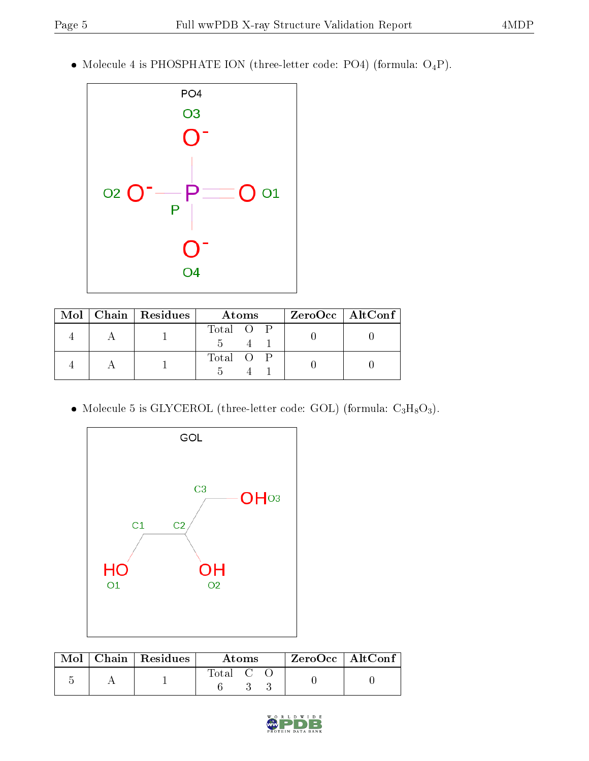$\bullet$  Molecule 4 is PHOSPHATE ION (three-letter code: PO4) (formula:  $\mathrm{O_4P})$ .



|  | $\text{Mol}$   Chain   Residues | Atoms     | $ZeroOcc$   AltConf |
|--|---------------------------------|-----------|---------------------|
|  |                                 | Total O P |                     |
|  |                                 | Total O P |                     |

 $\bullet$  Molecule 5 is GLYCEROL (three-letter code: GOL) (formula:  $\rm{C_3H_8O_3}).$ 



|  | $\text{Mol}$   Chain   Residues | Atoms       |  |  | $ZeroOcc \mid AltConf$ |
|--|---------------------------------|-------------|--|--|------------------------|
|  |                                 | $Total$ $C$ |  |  |                        |

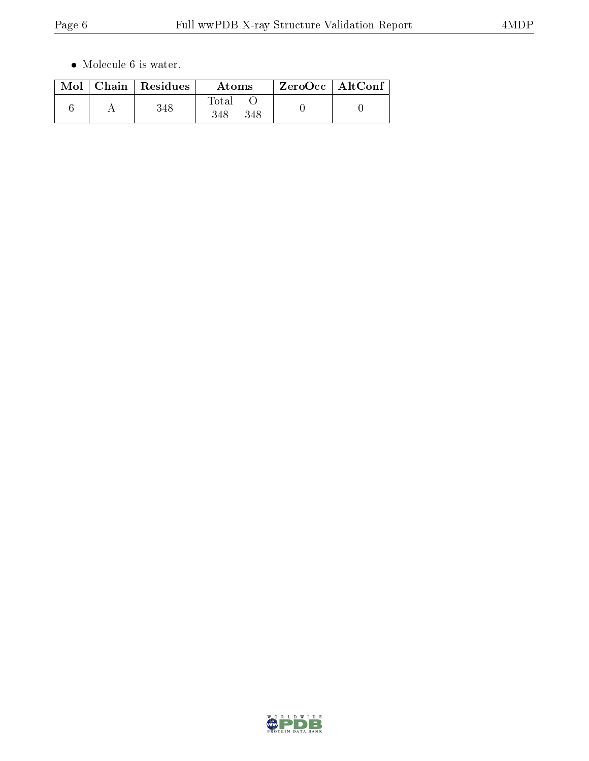$\bullet\,$  Molecule 6 is water.

| Mol | $\vert$ Chain $\vert$ Residues | Atoms               | $\rm ZeroOcc \mid AltConf$ |  |
|-----|--------------------------------|---------------------|----------------------------|--|
|     | 348                            | Total<br>348<br>348 |                            |  |

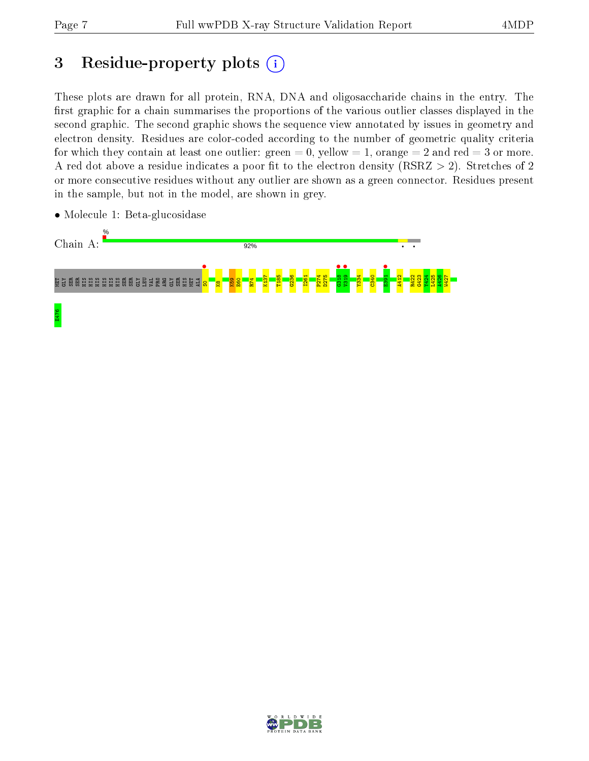## 3 Residue-property plots  $(i)$

These plots are drawn for all protein, RNA, DNA and oligosaccharide chains in the entry. The first graphic for a chain summarises the proportions of the various outlier classes displayed in the second graphic. The second graphic shows the sequence view annotated by issues in geometry and electron density. Residues are color-coded according to the number of geometric quality criteria for which they contain at least one outlier: green  $= 0$ , yellow  $= 1$ , orange  $= 2$  and red  $= 3$  or more. A red dot above a residue indicates a poor fit to the electron density ( $RSRZ > 2$ ). Stretches of 2 or more consecutive residues without any outlier are shown as a green connector. Residues present in the sample, but not in the model, are shown in grey.



• Molecule 1: Beta-glucosidase

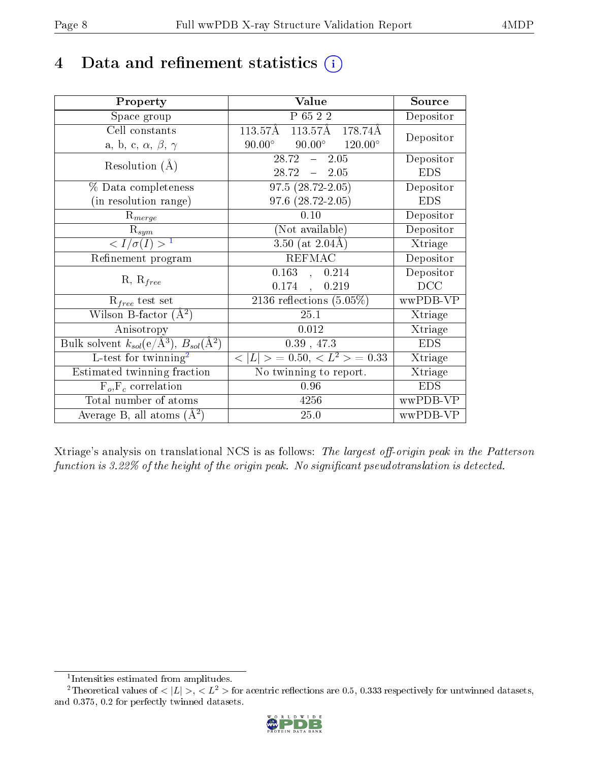## 4 Data and refinement statistics  $(i)$

| Property                                                         | <b>Value</b>                                                        | Source     |
|------------------------------------------------------------------|---------------------------------------------------------------------|------------|
| Space group                                                      | P 65 2 2                                                            | Depositor  |
| Cell constants                                                   | $113.57\text{\AA}$ $113.\overline{57\text{\AA}}$ $178.74\text{\AA}$ | Depositor  |
| a, b, c, $\alpha$ , $\beta$ , $\gamma$                           | $90.00^\circ$<br>$90.00^{\circ}$<br>$120.00^{\circ}$                |            |
| Resolution $(A)$                                                 | 28.72<br>$-2.05$                                                    | Depositor  |
|                                                                  | $28.72 - 2.05$                                                      | <b>EDS</b> |
| $\%$ Data completeness                                           | $97.5(28.72-2.05)$                                                  | Depositor  |
| (in resolution range)                                            | 97.6 (28.72-2.05)                                                   | <b>EDS</b> |
| $R_{merge}$                                                      | 0.10                                                                | Depositor  |
| $\mathrm{R}_{sym}$                                               | (Not available)                                                     | Depositor  |
| $\langle I/\sigma(I) \rangle^{-1}$                               | $3.50$ (at $2.04\text{\AA}$ )                                       | Xtriage    |
| Refinement program                                               | <b>REFMAC</b>                                                       | Depositor  |
|                                                                  | $0.163$ , $0.214$                                                   | Depositor  |
| $R, R_{free}$                                                    | $0.174$ ,<br>0.219                                                  | DCC        |
| $R_{free}$ test set                                              | 2136 reflections $(5.05\%)$                                         | wwPDB-VP   |
| Wilson B-factor $(A^2)$                                          | 25.1                                                                | Xtriage    |
| Anisotropy                                                       | 0.012                                                               | Xtriage    |
| Bulk solvent $k_{sol}(\text{e}/\text{A}^3), B_{sol}(\text{A}^2)$ | 0.39, 47.3                                                          | <b>EDS</b> |
| L-test for $\mathrm{twinning}^2$                                 | $< L >$ = 0.50, $< L2$ > = 0.33                                     | Xtriage    |
| Estimated twinning fraction                                      | No twinning to report.                                              | Xtriage    |
| $\overline{F_o}, \overline{F_c}$ correlation                     | 0.96                                                                | <b>EDS</b> |
| Total number of atoms                                            | 4256                                                                | wwPDB-VP   |
| Average B, all atoms $(A^2)$                                     | 25.0                                                                | wwPDB-VP   |

Xtriage's analysis on translational NCS is as follows: The largest off-origin peak in the Patterson function is  $3.22\%$  of the height of the origin peak. No significant pseudotranslation is detected.

<sup>&</sup>lt;sup>2</sup>Theoretical values of  $\langle |L| \rangle$ ,  $\langle L^2 \rangle$  for acentric reflections are 0.5, 0.333 respectively for untwinned datasets, and 0.375, 0.2 for perfectly twinned datasets.



<span id="page-7-1"></span><span id="page-7-0"></span><sup>1</sup> Intensities estimated from amplitudes.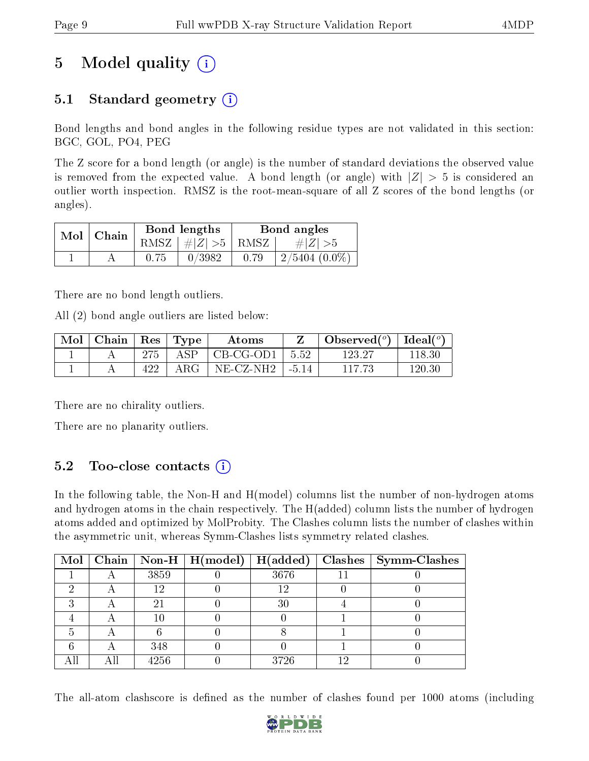## 5 Model quality  $(i)$

## 5.1 Standard geometry  $(i)$

Bond lengths and bond angles in the following residue types are not validated in this section: BGC, GOL, PO4, PEG

The Z score for a bond length (or angle) is the number of standard deviations the observed value is removed from the expected value. A bond length (or angle) with  $|Z| > 5$  is considered an outlier worth inspection. RMSZ is the root-mean-square of all Z scores of the bond lengths (or angles).

| $Mol$   Chain |      | Bond lengths                 | Bond angles |                  |  |
|---------------|------|------------------------------|-------------|------------------|--|
|               |      | $RMSZ$ $\mid \# Z  > 5$ RMSZ |             | $\# Z  > 5$      |  |
|               | 0.75 | 0/3982                       | 0.79        | $2/5404~(0.0\%)$ |  |

There are no bond length outliers.

All (2) bond angle outliers are listed below:

| $\bf{Mol}$ | Chain |     | $\vert$ Res $\vert$ Type | Atoms            |         | Observed $(^\circ)$ | $\mid$ Ideal( $^o$ ) |
|------------|-------|-----|--------------------------|------------------|---------|---------------------|----------------------|
|            |       | 275 | ASP                      | $\mid$ CB-CG-OD1 | 5.52    | 123.27              | 118.30               |
|            |       | 422 | $\rm{ARG}$               | NE-CZ-NH2        | $-5.14$ | 117 73              | 120.30               |

There are no chirality outliers.

There are no planarity outliers.

### 5.2 Too-close contacts  $(i)$

In the following table, the Non-H and H(model) columns list the number of non-hydrogen atoms and hydrogen atoms in the chain respectively. The H(added) column lists the number of hydrogen atoms added and optimized by MolProbity. The Clashes column lists the number of clashes within the asymmetric unit, whereas Symm-Clashes lists symmetry related clashes.

|  |      | Mol   Chain   Non-H   H(model)   H(added) |      |    | $Clashes$   Symm-Clashes |
|--|------|-------------------------------------------|------|----|--------------------------|
|  | 3859 |                                           | 3676 |    |                          |
|  | 19   |                                           |      |    |                          |
|  |      |                                           | 30   |    |                          |
|  |      |                                           |      |    |                          |
|  |      |                                           |      |    |                          |
|  | 348  |                                           |      |    |                          |
|  | 4256 |                                           | 3726 | 16 |                          |

The all-atom clashscore is defined as the number of clashes found per 1000 atoms (including

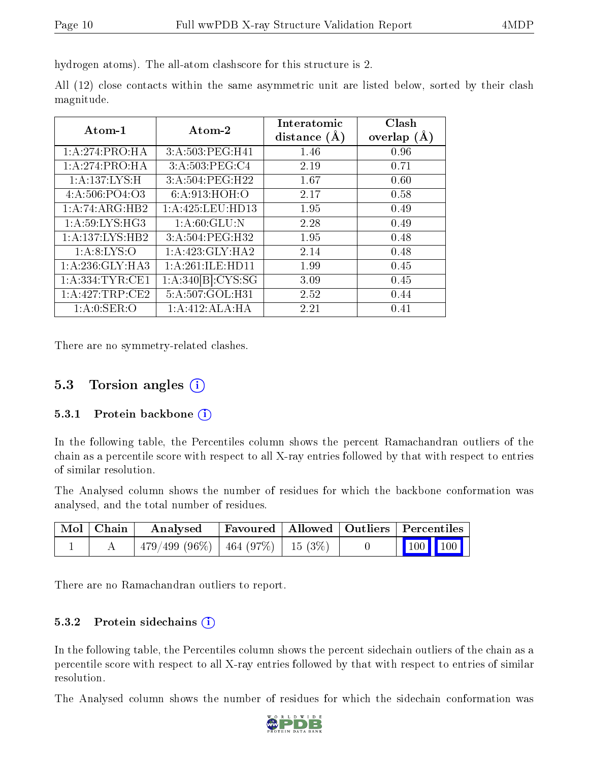hydrogen atoms). The all-atom clashscore for this structure is 2.

|            |  |  | All (12) close contacts within the same asymmetric unit are listed below, sorted by their clash |  |  |  |  |
|------------|--|--|-------------------------------------------------------------------------------------------------|--|--|--|--|
| magnitude. |  |  |                                                                                                 |  |  |  |  |

| Atom-1              | Atom-2               | Interatomic<br>distance $(A)$ | Clash<br>overlap $(A)$ |
|---------------------|----------------------|-------------------------------|------------------------|
| 1:A:274:PRO:HA      | 3:A:503:PEG:H41      | 1.46                          | 0.96                   |
| 1:A:274:PRO:HA      | 3:A:503:PEG:C4       | 2.19                          | 0.71                   |
| 1: A: 137: LYS: H   | 3:A:504:PEG:H22      | 1.67                          | 0.60                   |
| 4: A:506: PO4:O3    | 6:A:913:HOH:O        | 2.17                          | 0.58                   |
| 1:A:74:ARG:HB2      | 1: A: 425: LEU: HD13 | 1.95                          | 0.49                   |
| 1: A:59: LYS: HG3   | 1: A:60: GLU:N       | 2.28                          | 0.49                   |
| 1:A:137:LYS:HB2     | 3:A:504:PEG:H32      | 1.95                          | 0.48                   |
| 1: A:8: LYS:O       | 1:A:423:GLY:HA2      | 2.14                          | 0.48                   |
| 1:A:236:GLY:HA3     | 1:A:261:ILE:HD11     | 1.99                          | 0.45                   |
| 1: A: 334: TYR: CE1 | 1:A:340[B]:CYS:SG    | 3.09                          | 0.45                   |
| 1:A:427:TRP:CE2     | 5:A:507:GOL:H31      | 2.52                          | 0.44                   |
| 1: A:0: SER:O       | 1:A:412:ALA:HA       | 2.21                          | 0.41                   |

There are no symmetry-related clashes.

#### 5.3 Torsion angles  $(i)$

#### 5.3.1 Protein backbone (i)

In the following table, the Percentiles column shows the percent Ramachandran outliers of the chain as a percentile score with respect to all X-ray entries followed by that with respect to entries of similar resolution.

The Analysed column shows the number of residues for which the backbone conformation was analysed, and the total number of residues.

| Mol   Chain | Analysed                                 |  | Favoured   Allowed   Outliers   Percentiles |  |
|-------------|------------------------------------------|--|---------------------------------------------|--|
|             | $479/499 (96\%)$   464 (97\%)   15 (3\%) |  | $\vert$ 100 100 $\vert$                     |  |

There are no Ramachandran outliers to report.

#### 5.3.2 Protein sidechains (i)

In the following table, the Percentiles column shows the percent sidechain outliers of the chain as a percentile score with respect to all X-ray entries followed by that with respect to entries of similar resolution.

The Analysed column shows the number of residues for which the sidechain conformation was

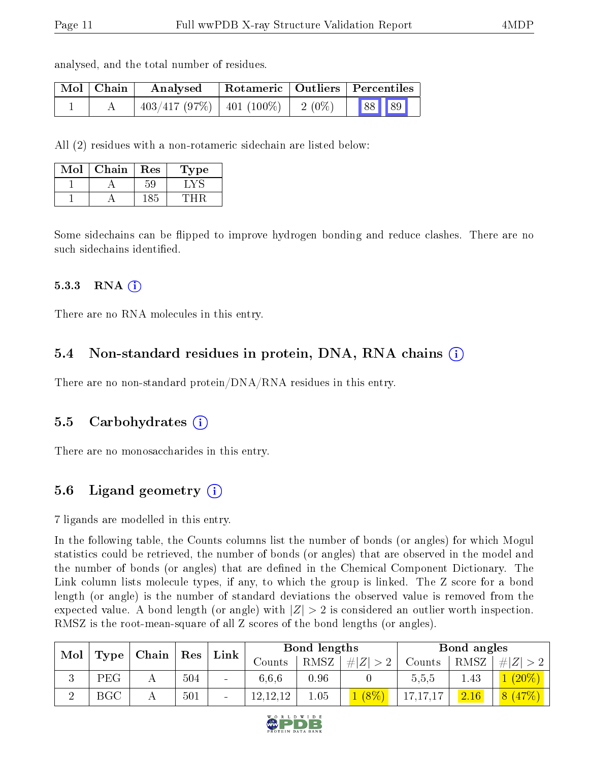analysed, and the total number of residues.

| Mol   Chain | Analysed                       | Rotameric   Outliers   Percentiles |          |       |  |  |
|-------------|--------------------------------|------------------------------------|----------|-------|--|--|
|             | $403/417$ (97\%)   401 (100\%) |                                    | $2(0\%)$ | 88 89 |  |  |

All (2) residues with a non-rotameric sidechain are listed below:

| Mol | ${\bf Chain}$ | <b>Res</b> | Type |
|-----|---------------|------------|------|
|     |               |            |      |
|     |               |            |      |

Some sidechains can be flipped to improve hydrogen bonding and reduce clashes. There are no such sidechains identified.

#### $5.3.3$  RNA  $(i)$

There are no RNA molecules in this entry.

#### 5.4 Non-standard residues in protein, DNA, RNA chains  $(i)$

There are no non-standard protein/DNA/RNA residues in this entry.

#### 5.5 Carbohydrates  $(i)$

There are no monosaccharides in this entry.

### 5.6 Ligand geometry  $(i)$

7 ligands are modelled in this entry.

In the following table, the Counts columns list the number of bonds (or angles) for which Mogul statistics could be retrieved, the number of bonds (or angles) that are observed in the model and the number of bonds (or angles) that are defined in the Chemical Component Dictionary. The Link column lists molecule types, if any, to which the group is linked. The Z score for a bond length (or angle) is the number of standard deviations the observed value is removed from the expected value. A bond length (or angle) with  $|Z| > 2$  is considered an outlier worth inspection. RMSZ is the root-mean-square of all Z scores of the bond lengths (or angles).

| Mol |              |       | Res | Link | Bond lengths |      |         |            | Bond angles |               |
|-----|--------------|-------|-----|------|--------------|------|---------|------------|-------------|---------------|
|     | Type         | Chain |     |      | Counts       | RMSZ | # Z     | Counts     | RMSZ        | # $ Z  > 2$   |
| J.  | PEG.         |       | 504 | Ξ.   | 6.6.6        | 0.96 |         | 5,5,5      | 1.43        | $(20\%$       |
|     | $_{\rm BGC}$ |       | 501 | -    | 12,12,12     | 1.05 | $(8\%)$ | 17, 17, 17 | 2.16        | $[47\%]$<br>8 |

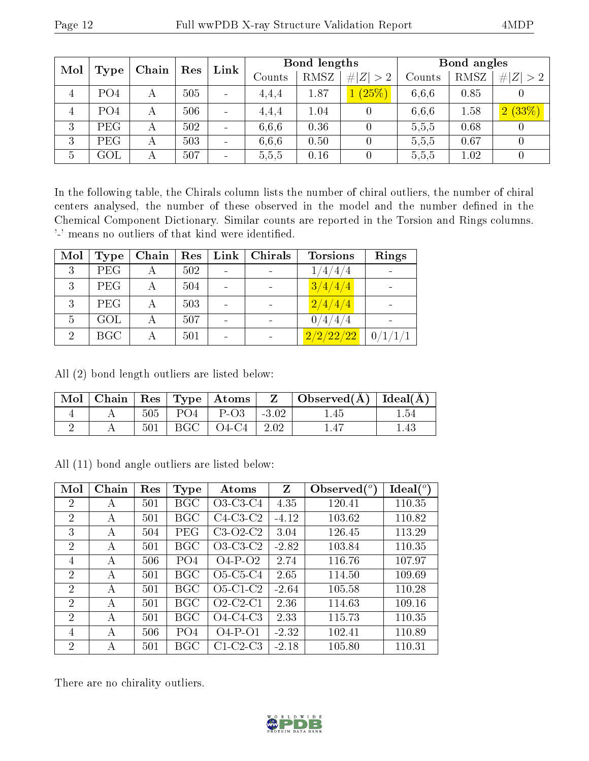| Mol |                 | Chain | Res | $\mathop{\rm Link}\nolimits$ |        | Bond lengths |             | Bond angles |      |                  |
|-----|-----------------|-------|-----|------------------------------|--------|--------------|-------------|-------------|------|------------------|
|     | Type            |       |     |                              | Counts | RMSZ         | # $ Z  > 2$ | Counts      | RMSZ | # $ Z  > 2$      |
| 4   | PO <sub>4</sub> | А     | 505 |                              | 4.4.4  | 1.87         | 1(25%)      | 6,6,6       | 0.85 | 0                |
| 4   | PO <sub>4</sub> | А     | 506 |                              | 4.4,4  | 1.04         |             | 6,6,6       | 1.58 | 2(33%)           |
| 3   | PEG             | А     | 502 |                              | 6,6,6  | 0.36         |             | 5,5,5       | 0.68 |                  |
| 3   | PEG             |       | 503 |                              | 6.6.6  | 0.50         |             | 5,5,5       | 0.67 | $\left( \right)$ |
| 5   | $\mathrm{GOL}$  | А     | 507 |                              | 5,5,5  | 0.16         |             | 5,5,5       | 1.02 |                  |

In the following table, the Chirals column lists the number of chiral outliers, the number of chiral centers analysed, the number of these observed in the model and the number defined in the Chemical Component Dictionary. Similar counts are reported in the Torsion and Rings columns. '-' means no outliers of that kind were identified.

| Mol            | Type       | Chain | Res | $Link \mid$ | Chirals | <b>Torsions</b>           | Rings   |
|----------------|------------|-------|-----|-------------|---------|---------------------------|---------|
| 3              | <b>PEG</b> |       | 502 |             |         | 1/4/4/4                   |         |
| 3              | <b>PEG</b> |       | 504 |             |         | 3/4/4/4                   |         |
| 3              | <b>PEG</b> |       | 503 |             |         | $\lfloor 2/4/4/4 \rfloor$ |         |
| 5              | GOL        |       | 507 |             |         | 0/4/4/4                   |         |
| $\overline{2}$ | <b>BGC</b> |       | 501 |             |         | 2/2/22/22                 | 0/1/1/1 |

All (2) bond length outliers are listed below:

|  |  | Mol   Chain   Res   Type   Atoms | $Z \parallel$ Observed( $\AA$ )   Ideal( $\AA$ ) |      |
|--|--|----------------------------------|--------------------------------------------------|------|
|  |  | $505$   PO4   P-O3   -3.02       | .45                                              | 1.54 |
|  |  | $501$   BGC   O4-C4   2.02       |                                                  | -43  |

All (11) bond angle outliers are listed below:

| Mol            | Chain | Res | Type            | Atoms                                          | Z       | Observed $(°)$ | Ideal(°) |
|----------------|-------|-----|-----------------|------------------------------------------------|---------|----------------|----------|
| 2              | A     | 501 | BGC             | O3-C3-C4                                       | 4.35    | 120.41         | 110.35   |
| $\overline{2}$ | A     | 501 | BGC             | $C4-C3-C2$                                     | $-4.12$ | 103.62         | 110.82   |
| 3              | A     | 504 | PEG             | $C3-O2-C2$                                     | 3.04    | 126.45         | 113.29   |
| 2              | A     | 501 | BGC             | $O3-C3-C2$                                     | $-2.82$ | 103.84         | 110.35   |
| 4              | А     | 506 | PO <sub>4</sub> | $O4-P-O2$                                      | 2.74    | 116.76         | 107.97   |
| $\overline{2}$ | А     | 501 | BGC             | O <sub>5</sub> -C <sub>5</sub> -C <sub>4</sub> | 2.65    | 114.50         | 109.69   |
| $\overline{2}$ | А     | 501 | BGC             | $O5-C1-C2$                                     | $-2.64$ | 105.58         | 110.28   |
| $\overline{2}$ | А     | 501 | BGC             | $O2$ -C <sub>2</sub> -C <sub>1</sub>           | 2.36    | 114.63         | 109.16   |
| $\overline{2}$ | А     | 501 | BGC             | $O4-C4-C3$                                     | 2.33    | 115.73         | 110.35   |
| 4              | А     | 506 | PO <sub>4</sub> | $O4-P-O1$                                      | $-2.32$ | 102.41         | 110.89   |
| $\overline{2}$ | А     | 501 | BGC             | $C1-C2-C3$                                     | $-2.18$ | 105.80         | 110.31   |

There are no chirality outliers.

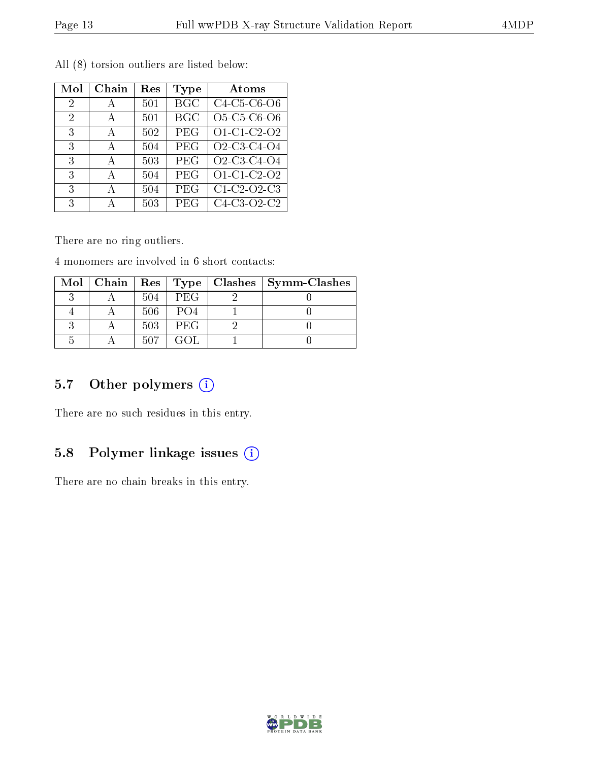| Mol            | Chain | $\operatorname{Res}% \left( \mathcal{N}\right) \equiv\operatorname{Res}(\mathcal{N}_{0})\cap\mathcal{N}_{1}$ | Type             | Atoms                                                          |
|----------------|-------|--------------------------------------------------------------------------------------------------------------|------------------|----------------------------------------------------------------|
| $\overline{2}$ | А     | 501                                                                                                          | $\overline{BGC}$ | C <sub>4</sub> -C <sub>5</sub> -C <sub>6</sub> -O <sub>6</sub> |
| $\overline{2}$ | А     | 501                                                                                                          | <b>BGC</b>       | O5-C5-C6-O6                                                    |
| 3              | А     | 502                                                                                                          | PEG              | O1-C1-C2-O2                                                    |
| 3              | A     | 504                                                                                                          | PEG              | O2-C3-C4-O4                                                    |
| 3              | А     | 503                                                                                                          | PEG              | O2-C3-C4-O4                                                    |
| 3              | A     | 504                                                                                                          | PEG              | $\overline{O1}$ C1 C2 O2                                       |
| 3              | A     | 504                                                                                                          | PEG              | C1-C2-O2-C3                                                    |
| 3              | А     | 503                                                                                                          | <b>PEG</b>       | C4-C3-O2-C2                                                    |

All (8) torsion outliers are listed below:

There are no ring outliers.

4 monomers are involved in 6 short contacts:

|  |     |            | Mol   Chain   Res   Type   Clashes   Symm-Clashes |
|--|-----|------------|---------------------------------------------------|
|  | 504 | PEG        |                                                   |
|  | 506 | -PO4       |                                                   |
|  | 503 | <b>PEG</b> |                                                   |
|  | 507 | GOL.       |                                                   |

### 5.7 [O](https://www.wwpdb.org/validation/2017/XrayValidationReportHelp#nonstandard_residues_and_ligands)ther polymers (i)

There are no such residues in this entry.

### 5.8 Polymer linkage issues (i)

There are no chain breaks in this entry.

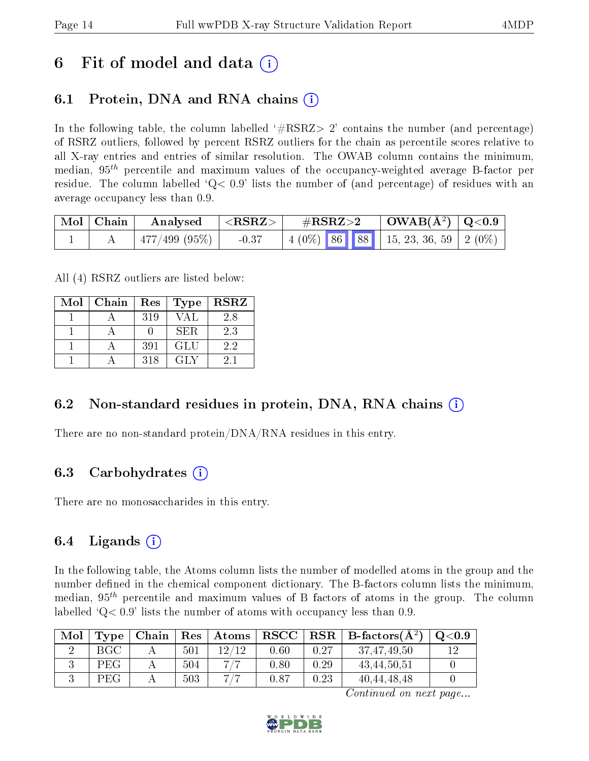## 6 Fit of model and data  $\left( \cdot \right)$

## 6.1 Protein, DNA and RNA chains (i)

In the following table, the column labelled  $#RSRZ>2'$  contains the number (and percentage) of RSRZ outliers, followed by percent RSRZ outliers for the chain as percentile scores relative to all X-ray entries and entries of similar resolution. The OWAB column contains the minimum, median,  $95<sup>th</sup>$  percentile and maximum values of the occupancy-weighted average B-factor per residue. The column labelled  $Q < 0.9$  lists the number of (and percentage) of residues with an average occupancy less than 0.9.

| $\mid$ Mol $\mid$ Chain $\mid$ | Analysed                    | $  <$ RSRZ $>$ | $\rm \#RSRZ{>}2$                          |  | $\mid$ OWAB(Å <sup>2</sup> ) $\mid$ Q<0.9 $\mid$ |  |
|--------------------------------|-----------------------------|----------------|-------------------------------------------|--|--------------------------------------------------|--|
|                                | $\mid$ 477/499 (95%) $\mid$ | $-0.37$        | $\mid$ 4 (0%) 86 88 15, 23, 36, 59 2 (0%) |  |                                                  |  |

All (4) RSRZ outliers are listed below:

| Mol | Chain | ${\mathop{\mathrm{Res}}\nolimits}$ | Type | <b>RSRZ</b> |
|-----|-------|------------------------------------|------|-------------|
|     |       | 319                                | VAI. | 2.8         |
|     |       |                                    | SER. | 2.3         |
|     |       | 391                                | GLU  | 2.2         |
|     |       | 318                                | GLY  | 21          |

#### 6.2 Non-standard residues in protein, DNA, RNA chains  $(i)$

There are no non-standard protein/DNA/RNA residues in this entry.

### 6.3 Carbohydrates (i)

There are no monosaccharides in this entry.

### 6.4 Ligands  $(i)$

In the following table, the Atoms column lists the number of modelled atoms in the group and the number defined in the chemical component dictionary. The B-factors column lists the minimum, median,  $95<sup>th</sup>$  percentile and maximum values of B factors of atoms in the group. The column labelled  $Q< 0.9$  lists the number of atoms with occupancy less than 0.9.

| Mol | $_{\rm Type}$ | Chain | $_{\perp}$ Res $^{+}$ | $\lambda$ Atoms | $\bf RSCC$ $\mid$ |      | $RSR \mid$ B-factors( $A^2$ ) | $\mathrm{Q}{<}0.9$ |
|-----|---------------|-------|-----------------------|-----------------|-------------------|------|-------------------------------|--------------------|
|     | BGC           |       | 501                   | 12/12           | 0.60              | 0.27 | 37,47,49,50                   |                    |
|     | PEG           |       | 504                   | 717             | 0.80              | 0.29 | 43,44,50,51                   |                    |
|     | PEG           |       | 503                   | -777            | 0.87              | 0.23 | 40, 44, 48, 48                |                    |

Continued on next page...